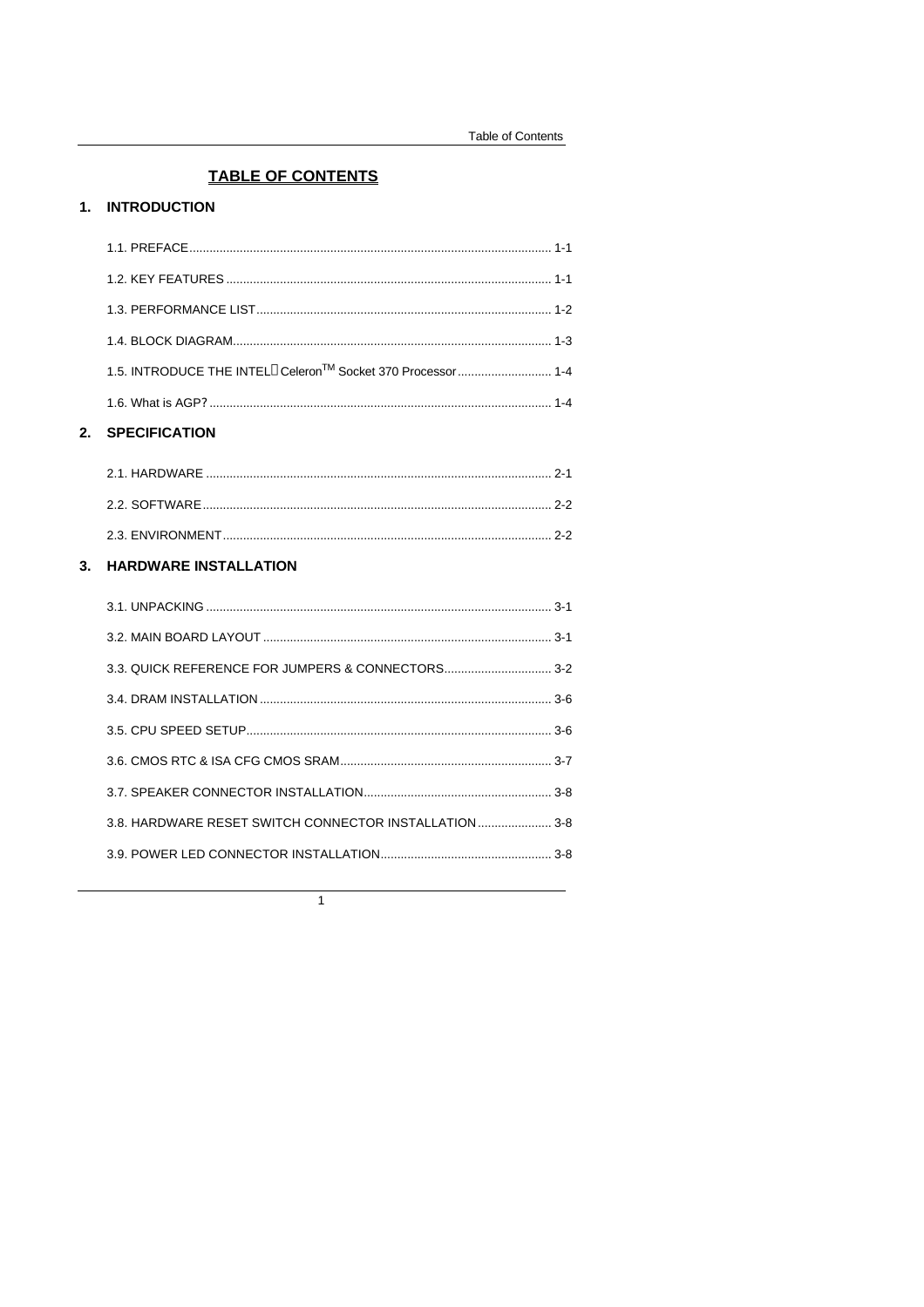# **TABLE OF CONTENTS**

## 1. INTRODUCTION

| <b>SPECIFICATION</b> |  |
|----------------------|--|
|                      |  |
|                      |  |
|                      |  |
|                      |  |
|                      |  |
|                      |  |

# 3. HARDWARE INSTALLATION

| 3.8. HARDWARE RESET SWITCH CONNECTOR INSTALLATION3-8 |
|------------------------------------------------------|
|                                                      |
|                                                      |

 $\overline{1}$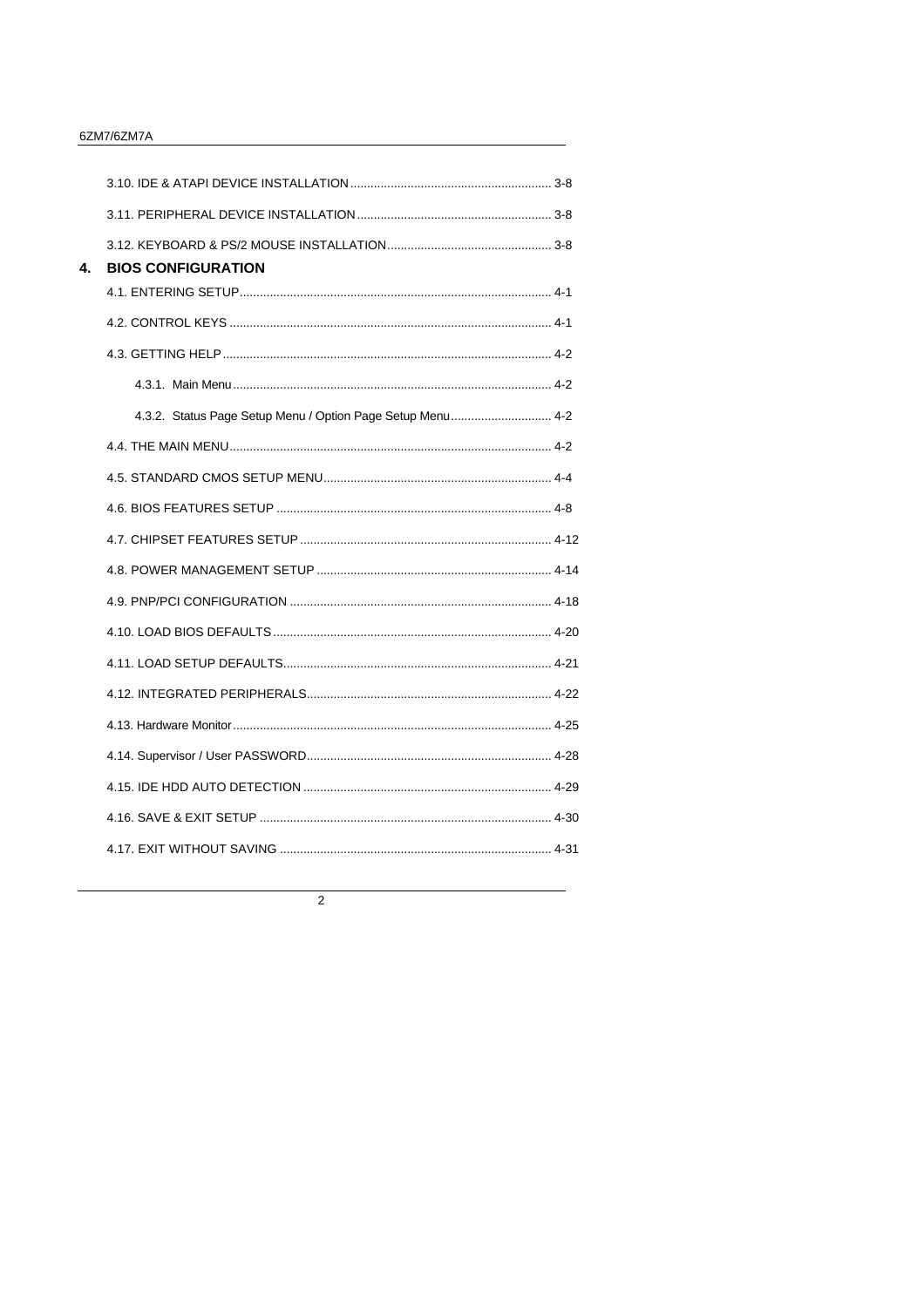#### 6ZM7/6ZM7A

| 4. | <b>BIOS CONFIGURATION</b>                                  |  |
|----|------------------------------------------------------------|--|
|    |                                                            |  |
|    |                                                            |  |
|    |                                                            |  |
|    |                                                            |  |
|    | 4.3.2. Status Page Setup Menu / Option Page Setup Menu 4-2 |  |
|    |                                                            |  |
|    |                                                            |  |
|    |                                                            |  |
|    |                                                            |  |
|    |                                                            |  |
|    |                                                            |  |
|    |                                                            |  |
|    |                                                            |  |
|    |                                                            |  |
|    |                                                            |  |
|    |                                                            |  |
|    |                                                            |  |
|    |                                                            |  |
|    |                                                            |  |
|    |                                                            |  |

 $\overline{2}$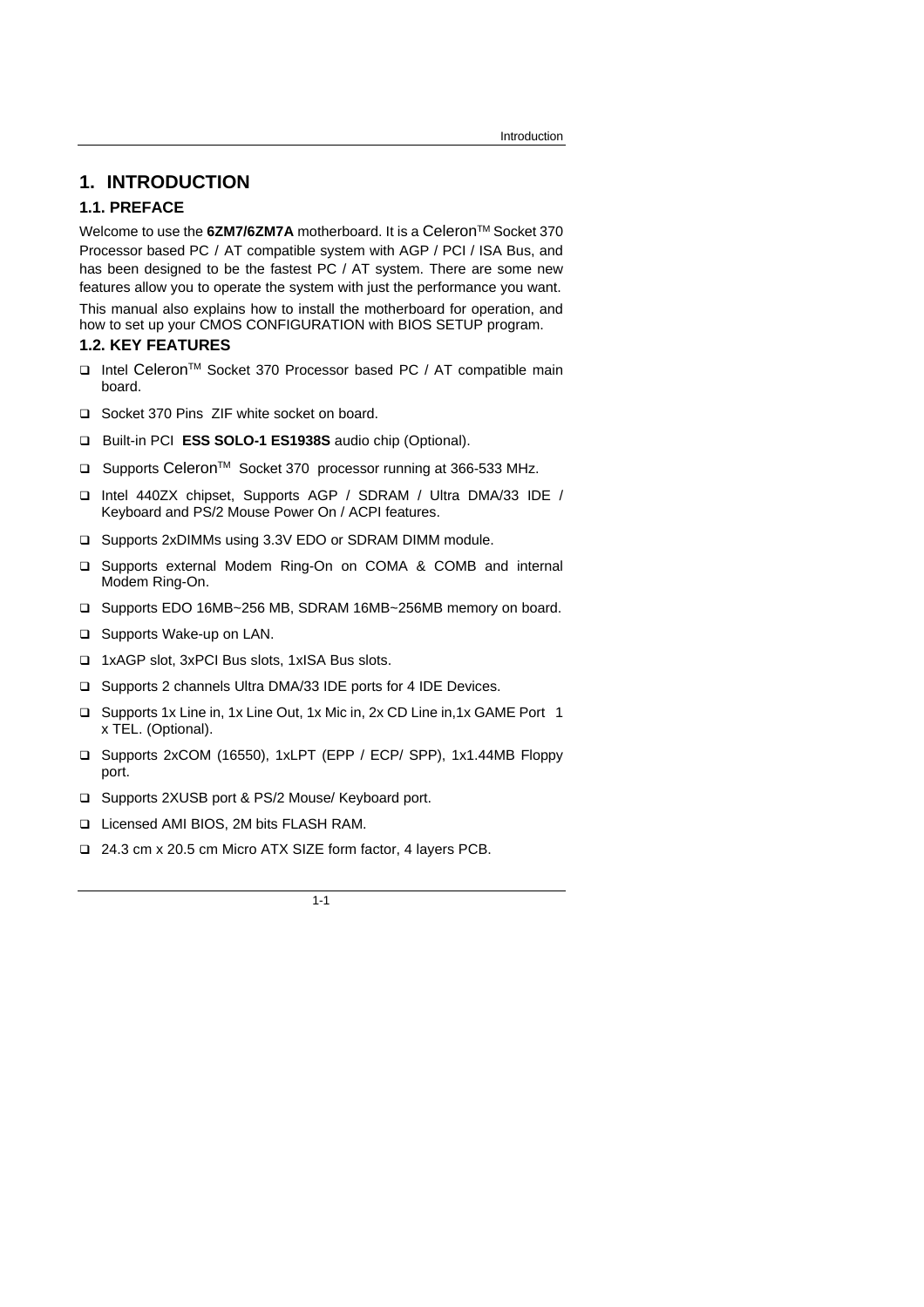# **1. INTRODUCTION**

### **1.1. PREFACE**

Welcome to use the 6ZM7/6ZM7A motherboard. It is a Celeron<sup>™</sup> Socket 370 Processor based PC / AT compatible system with AGP / PCI / ISA Bus, and has been designed to be the fastest PC / AT system. There are some new features allow you to operate the system with just the performance you want.

This manual also explains how to install the motherboard for operation, and how to set up your CMOS CONFIGURATION with BIOS SETUP program.

### **1.2. KEY FEATURES**

- □ Intel Celeron<sup>™</sup> Socket 370 Processor based PC / AT compatible main board.
- □ Socket 370 Pins ZIF white socket on board.
- q Built-in PCI **ESS SOLO-1 ES1938S** audio chip (Optional).
- □ Supports Celeron<sup>™</sup> Socket 370 processor running at 366-533 MHz.
- q Intel 440ZX chipset, Supports AGP / SDRAM / Ultra DMA/33 IDE / Keyboard and PS/2 Mouse Power On / ACPI features.
- □ Supports 2xDIMMs using 3.3V EDO or SDRAM DIMM module.
- □ Supports external Modem Ring-On on COMA & COMB and internal Modem Ring-On.
- q Supports EDO 16MB~256 MB, SDRAM 16MB~256MB memory on board.
- □ Supports Wake-up on LAN.
- q 1xAGP slot, 3xPCI Bus slots, 1xISA Bus slots.
- □ Supports 2 channels Ultra DMA/33 IDE ports for 4 IDE Devices.
- q Supports 1x Line in, 1x Line Out, 1x Mic in, 2x CD Line in,1x GAME Port 1 x TEL. (Optional).
- q Supports 2xCOM (16550), 1xLPT (EPP / ECP/ SPP), 1x1.44MB Floppy port.
- □ Supports 2XUSB port & PS/2 Mouse/ Keyboard port.
- q Licensed AMI BIOS, 2M bits FLASH RAM.
- q 24.3 cm x 20.5 cm Micro ATX SIZE form factor, 4 layers PCB.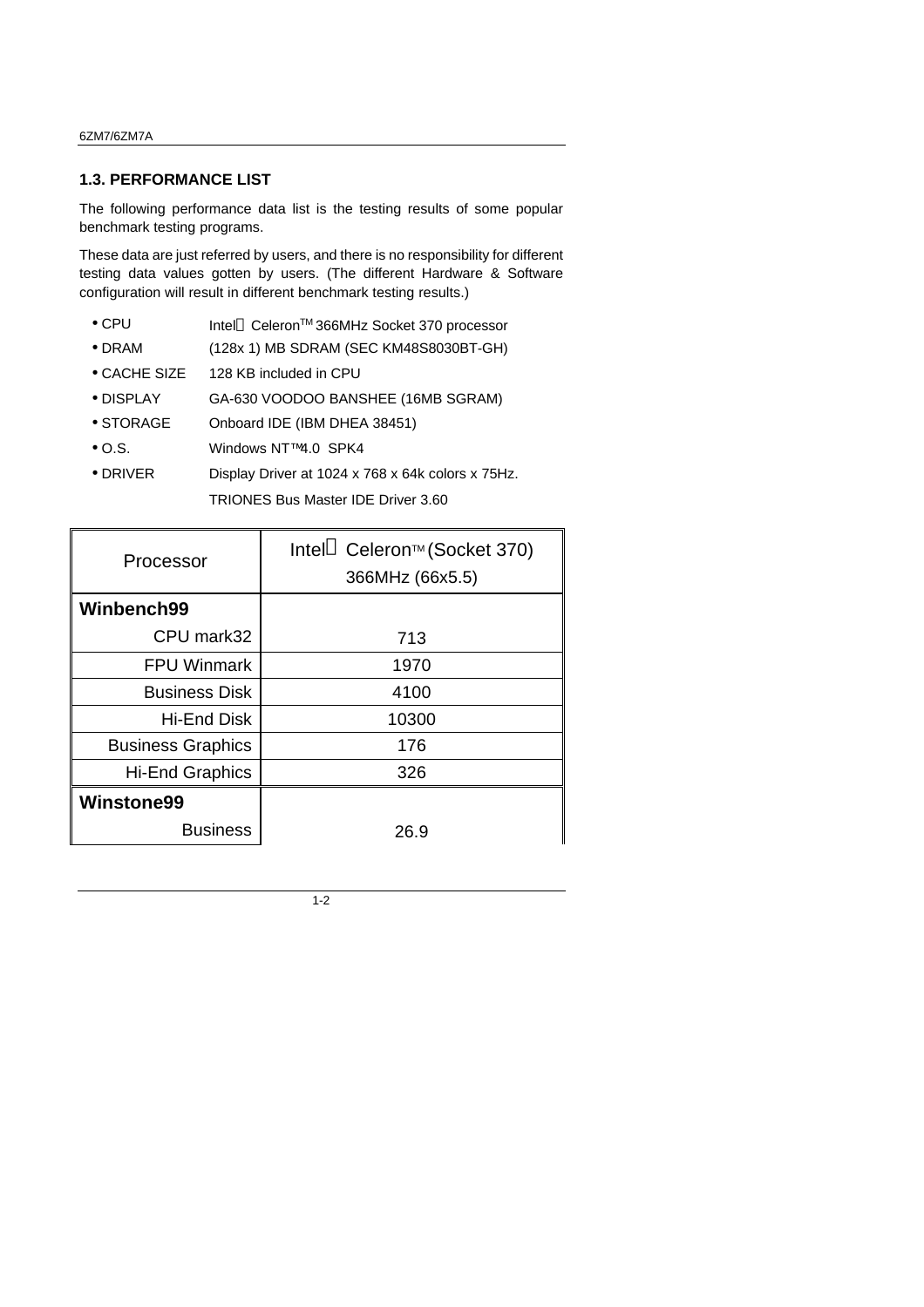### **1.3. PERFORMANCE LIST**

The following performance data list is the testing results of some popular benchmark testing programs.

These data are just referred by users, and there is no responsibility for different testing data values gotten by users. (The different Hardware & Software configuration will result in different benchmark testing results.)

- CPU Intel® Celeron<sup>TM</sup> 366MHz Socket 370 processor
- DRAM (128x 1) MB SDRAM (SEC KM48S8030BT-GH)
- CACHE SIZE 128 KB included in CPU
- DISPLAY GA-630 VOODOO BANSHEE (16MB SGRAM)
- STORAGE Onboard IDE (IBM DHEA 38451)
- O.S. Windows NT™4.0 SPK4
- DRIVER Display Driver at 1024 x 768 x 64k colors x 75Hz.

TRIONES Bus Master IDE Driver 3.60

| Processor                | Intel <sup>®</sup> Celeron <sup>™</sup> (Socket 370)<br>366MHz (66x5.5) |
|--------------------------|-------------------------------------------------------------------------|
| Winbench99               |                                                                         |
| CPU mark32               | 713                                                                     |
| <b>FPU Winmark</b>       | 1970                                                                    |
| <b>Business Disk</b>     | 4100                                                                    |
| Hi-End Disk              | 10300                                                                   |
| <b>Business Graphics</b> | 176                                                                     |
| <b>Hi-End Graphics</b>   | 326                                                                     |
| <b>Winstone99</b>        |                                                                         |
| <b>Business</b>          | 26.9                                                                    |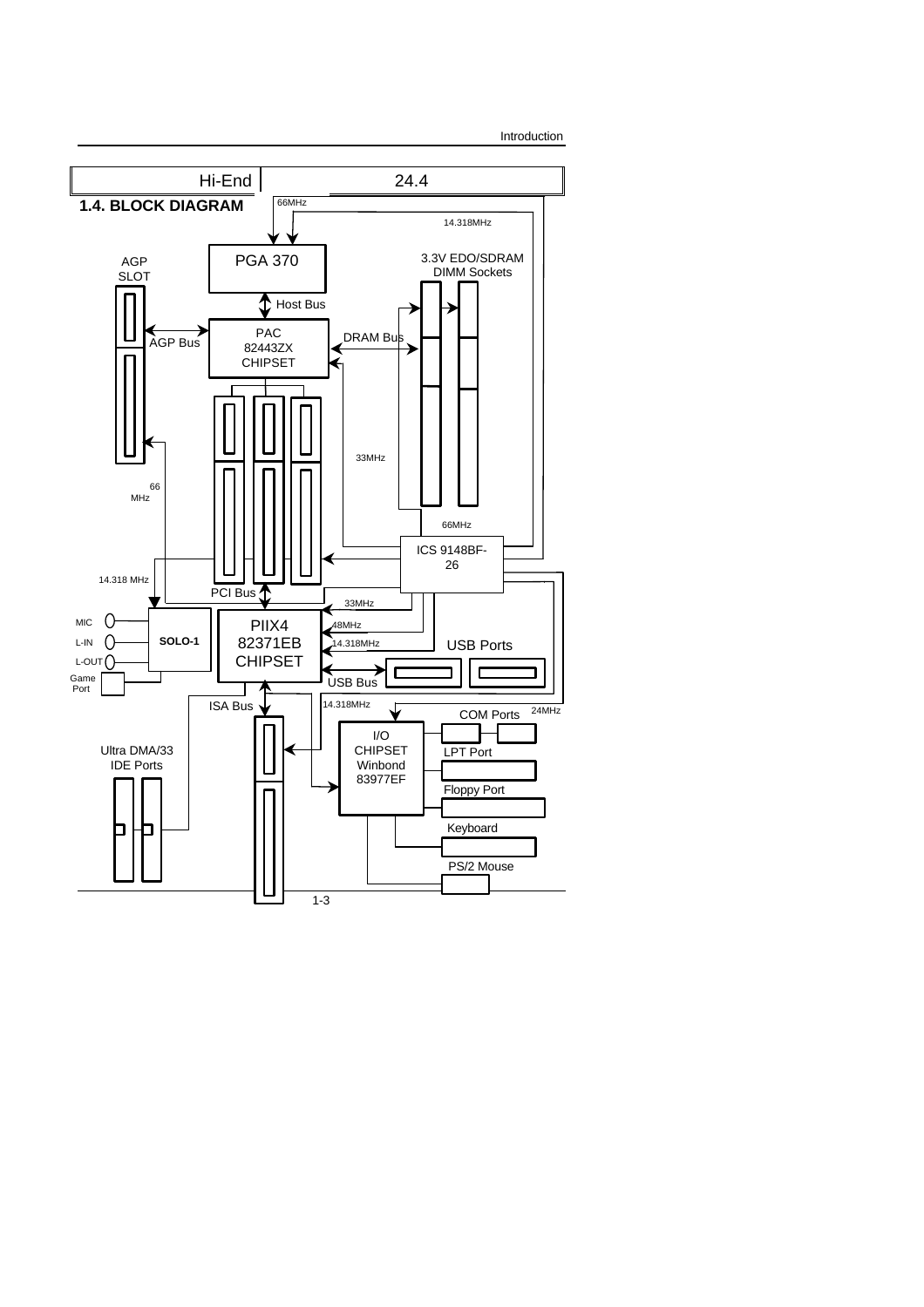

Introduction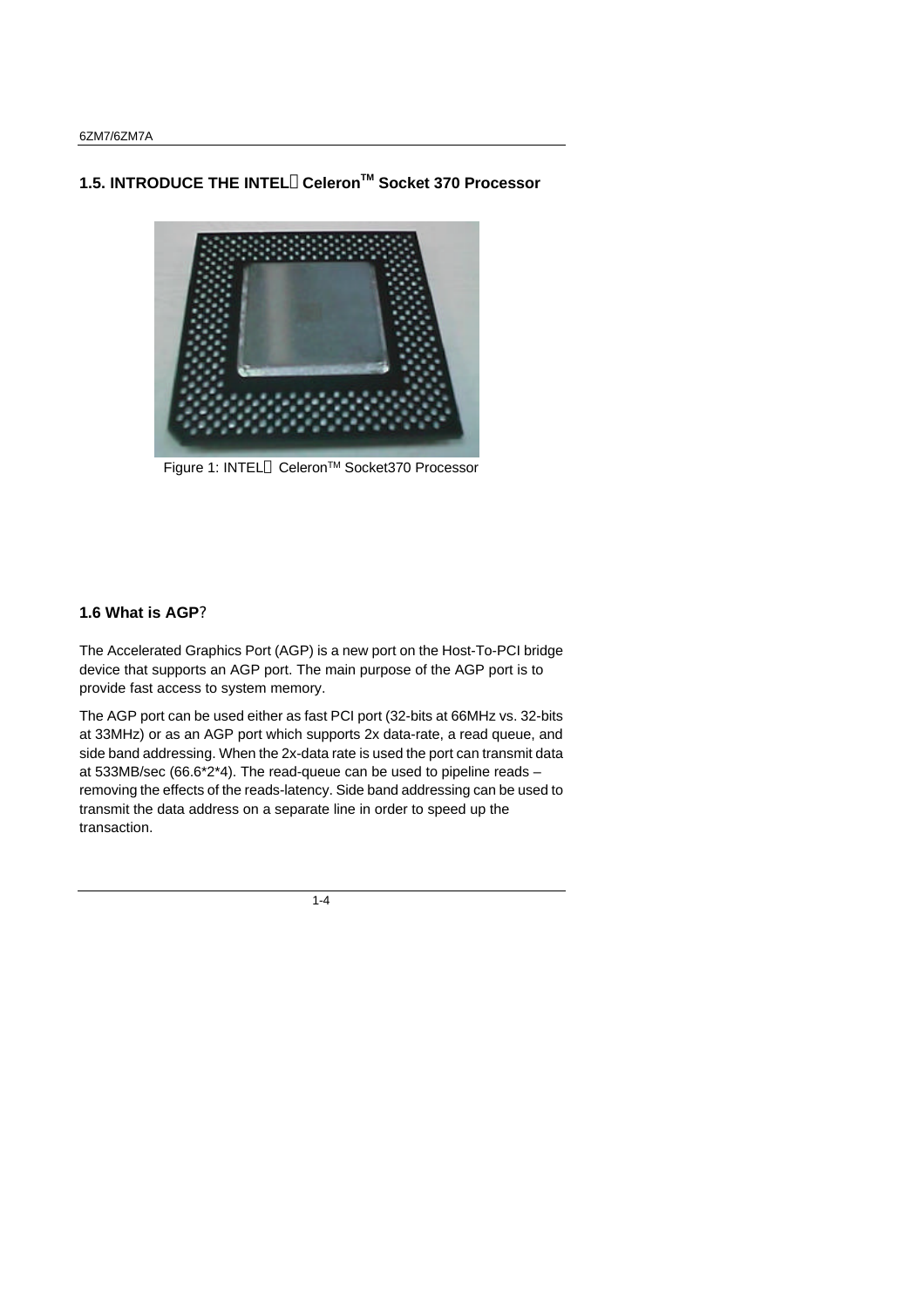# **1.5. INTRODUCE THE INTEL CeleronTM Socket 370 Processor**



Figure 1: INTEL<sup>®</sup> Celeron<sup>™</sup> Socket370 Processor

### **1.6 What is AGP?**

The Accelerated Graphics Port (AGP) is a new port on the Host-To-PCI bridge device that supports an AGP port. The main purpose of the AGP port is to provide fast access to system memory.

The AGP port can be used either as fast PCI port (32-bits at 66MHz vs. 32-bits at 33MHz) or as an AGP port which supports 2x data-rate, a read queue, and side band addressing. When the 2x-data rate is used the port can transmit data at 533MB/sec (66.6\*2\*4). The read-queue can be used to pipeline reads – removing the effects of the reads-latency. Side band addressing can be used to transmit the data address on a separate line in order to speed up the transaction.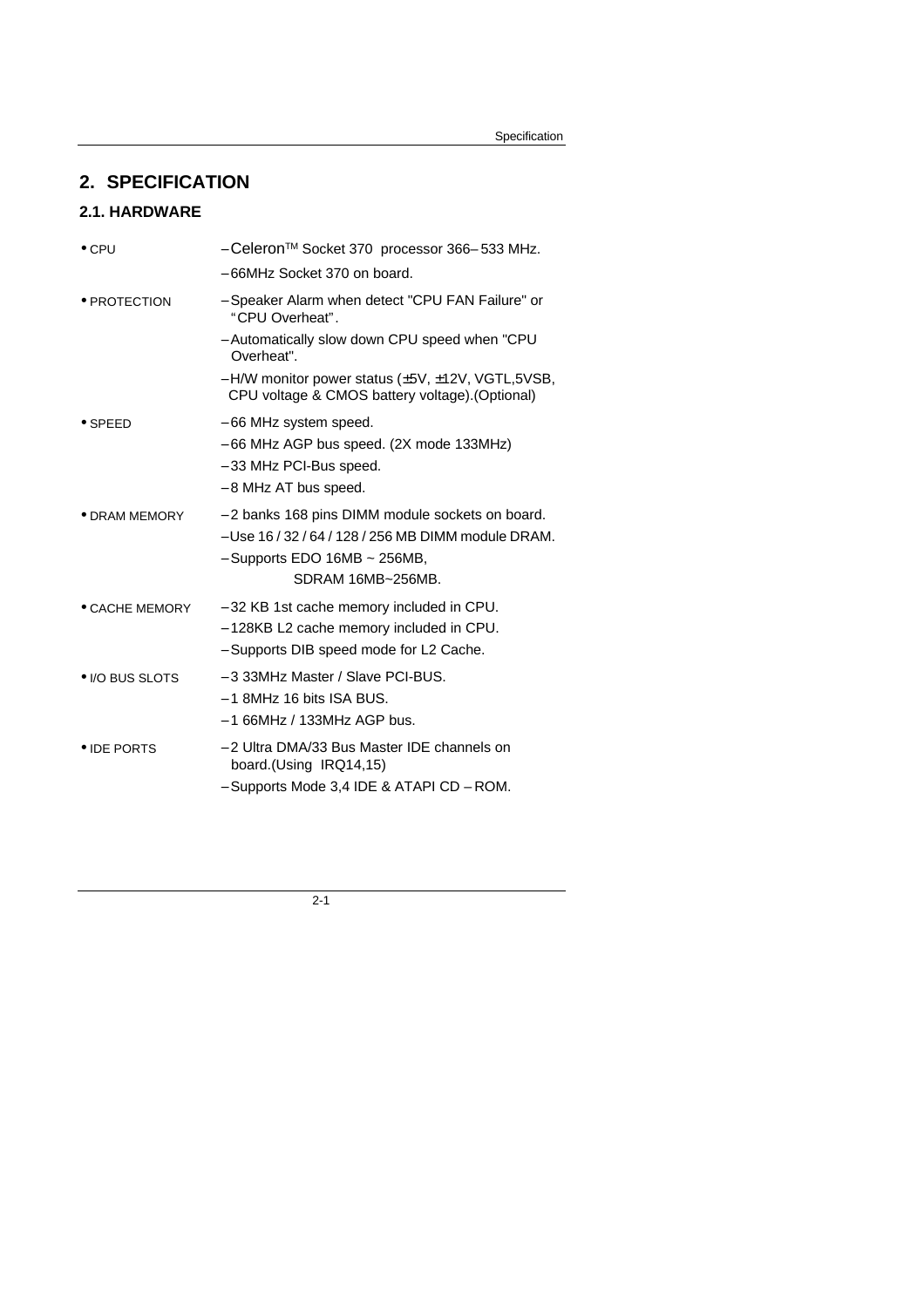# **2. SPECIFICATION**

# **2.1. HARDWARE**

| $\bullet$ CPU   | - Celeron™ Socket 370 processor 366-533 MHz.                                                                                                                        |
|-----------------|---------------------------------------------------------------------------------------------------------------------------------------------------------------------|
|                 | - 66MHz Socket 370 on board.                                                                                                                                        |
| • PROTECTION    | - Speaker Alarm when detect "CPU FAN Failure" or<br>"CPU Overheat".                                                                                                 |
|                 | - Automatically slow down CPU speed when "CPU<br>Overheat".                                                                                                         |
|                 | - H/W monitor power status (±5V, ±12V, VGTL, 5VSB,<br>CPU voltage & CMOS battery voltage). (Optional)                                                               |
| $\bullet$ SPEED | - 66 MHz system speed.<br>$-66$ MHz AGP bus speed. (2X mode 133MHz)<br>- 33 MHz PCI-Bus speed.<br>- 8 MHz AT bus speed.                                             |
| • DRAM MEMORY   | - 2 banks 168 pins DIMM module sockets on board.<br>- Use 16 / 32 / 64 / 128 / 256 MB DIMM module DRAM.<br>$-$ Supports EDO 16MB $\sim$ 256MB,<br>SDRAM 16MB~256MB. |
| • CACHE MEMORY  | - 32 KB 1st cache memory included in CPU.<br>- 128KB L2 cache memory included in CPU.<br>- Supports DIB speed mode for L2 Cache.                                    |
| • I/O BUS SLOTS | - 3 33MHz Master / Slave PCI-BUS.<br>$-1$ 8MHz 16 bits ISA BUS.<br>$-166$ MHz / 133MHz AGP bus.                                                                     |
| • IDE PORTS     | - 2 Ultra DMA/33 Bus Master IDE channels on<br>board.(Using IRQ14,15)<br>- Supports Mode 3,4 IDE & ATAPI CD - ROM.                                                  |
|                 |                                                                                                                                                                     |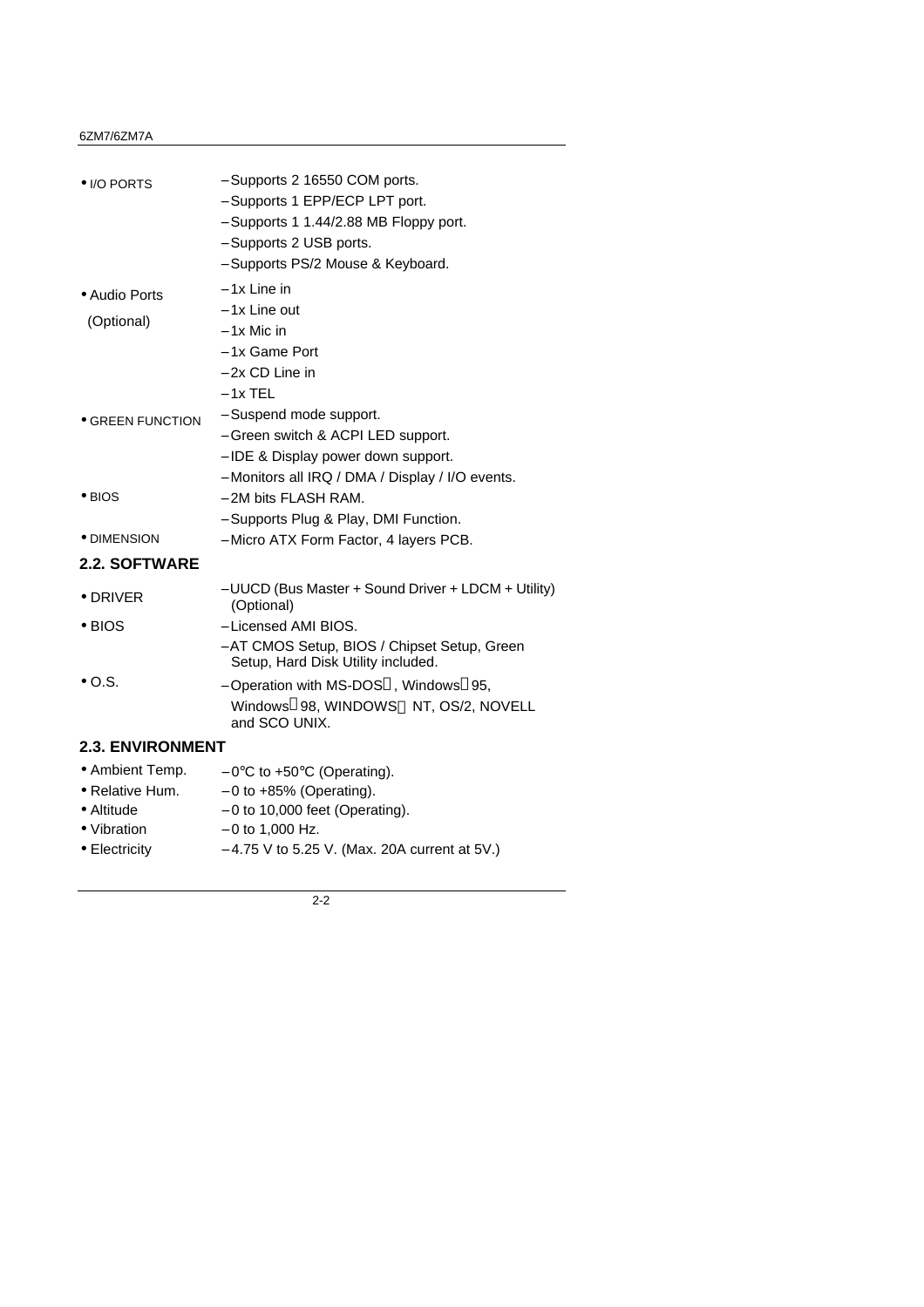#### 6ZM7/6ZM7A

| • I/O PORTS                                                                     | - Supports 2 16550 COM ports.<br>- Supports 1 EPP/ECP LPT port.<br>- Supports 1 1.44/2.88 MB Floppy port.<br>- Supports 2 USB ports.<br>- Supports PS/2 Mouse & Keyboard. |
|---------------------------------------------------------------------------------|---------------------------------------------------------------------------------------------------------------------------------------------------------------------------|
| · Audio Ports<br>(Optional)                                                     | $-1x$ Line in<br>- 1x Line out<br>– 1x Mic in<br>- 1x Game Port<br>- 2x CD Line in<br>$-1x$ TEL                                                                           |
| <b>• GREEN FUNCTION</b>                                                         | - Suspend mode support.<br>- Green switch & ACPI LED support.<br>- IDE & Display power down support.                                                                      |
| $\bullet$ BIOS                                                                  | - Monitors all IRQ / DMA / Display / I/O events.<br>- 2M bits FLASH RAM.<br>- Supports Plug & Play, DMI Function.                                                         |
| • DIMENSION                                                                     | - Micro ATX Form Factor, 4 layers PCB.                                                                                                                                    |
| <b>2.2. SOFTWARE</b>                                                            |                                                                                                                                                                           |
| $\bullet$ DRIVER                                                                | - UUCD (Bus Master + Sound Driver + LDCM + Utility)<br>(Optional)                                                                                                         |
| $\bullet$ BIOS                                                                  | - Licensed AMI BIOS.<br>- AT CMOS Setup, BIOS / Chipset Setup, Green<br>Setup, Hard Disk Utility included.                                                                |
| $\bullet$ O.S.                                                                  | - Operation with MS-DOS <sup>®</sup> , Windows <sup>®</sup> 95,<br>Windows <sup>®</sup> 98, WINDOWS™ NT, OS/2, NOVELL<br>and SCO UNIX.                                    |
| <b>2.3. ENVIRONMENT</b>                                                         |                                                                                                                                                                           |
| • Ambient Temp.<br>$\bullet$ Relative Hum.<br>$\bullet$ Altitude<br>• Vibration | $-0$ °C to +50°C (Operating).<br>$-0$ to $+85%$ (Operating).<br>$-0$ to 10,000 feet (Operating).<br>$-0$ to 1,000 Hz.                                                     |
| • Electricity                                                                   | $-4.75$ V to 5.25 V. (Max. 20A current at 5V.)                                                                                                                            |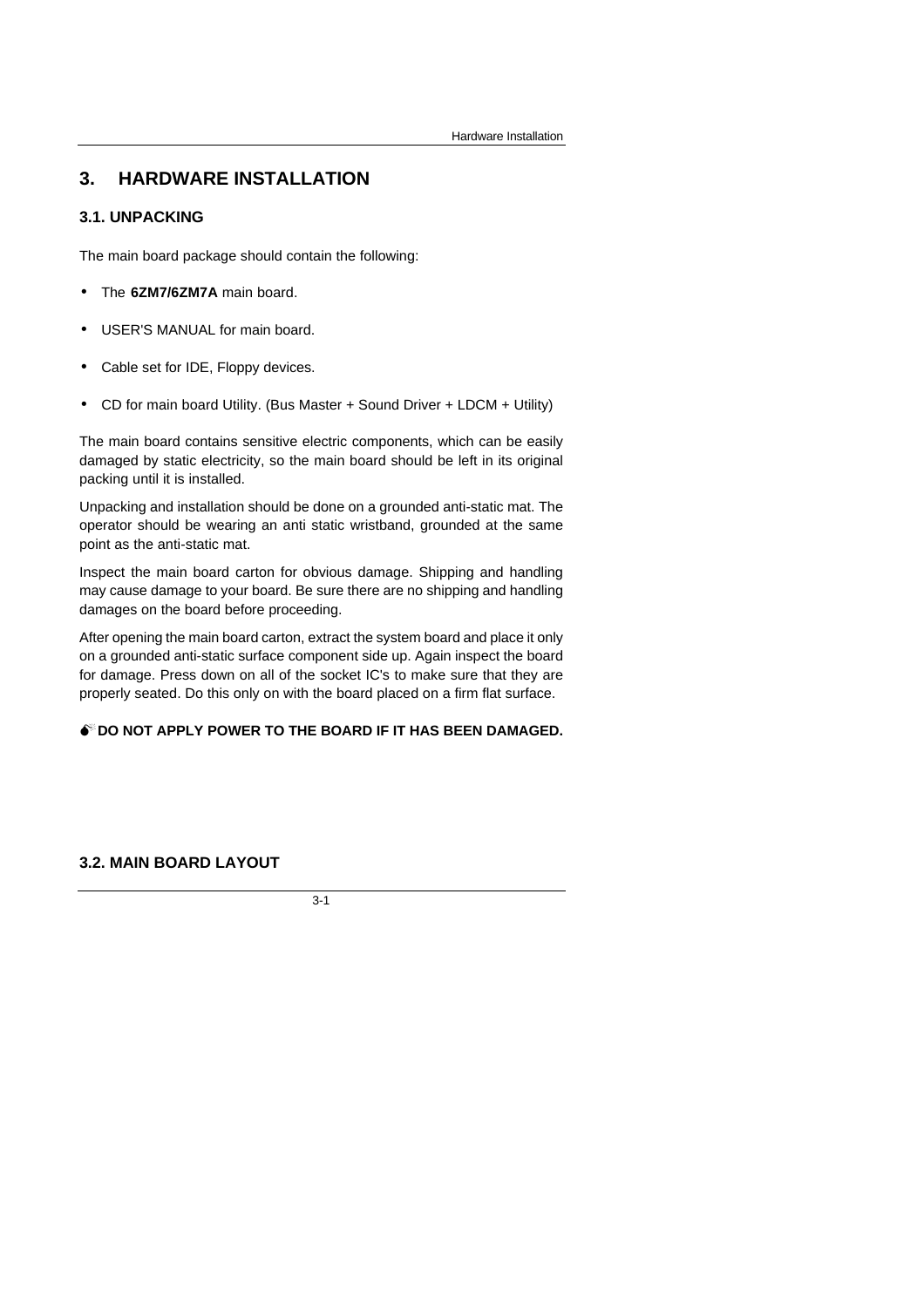# **3. HARDWARE INSTALLATION**

#### **3.1. UNPACKING**

The main board package should contain the following:

- The **6ZM7/6ZM7A** main board.
- USER'S MANUAL for main board.
- Cable set for IDE, Floppy devices.
- CD for main board Utility. (Bus Master + Sound Driver + LDCM + Utility)

The main board contains sensitive electric components, which can be easily damaged by static electricity, so the main board should be left in its original packing until it is installed.

Unpacking and installation should be done on a grounded anti-static mat. The operator should be wearing an anti static wristband, grounded at the same point as the anti-static mat.

Inspect the main board carton for obvious damage. Shipping and handling may cause damage to your board. Be sure there are no shipping and handling damages on the board before proceeding.

After opening the main board carton, extract the system board and place it only on a grounded anti-static surface component side up. Again inspect the board for damage. Press down on all of the socket IC's to make sure that they are properly seated. Do this only on with the board placed on a firm flat surface.

#### **M**<sup>**D**</sup> DO NOT APPLY POWER TO THE BOARD IF IT HAS BEEN DAMAGED.

#### **3.2. MAIN BOARD LAYOUT**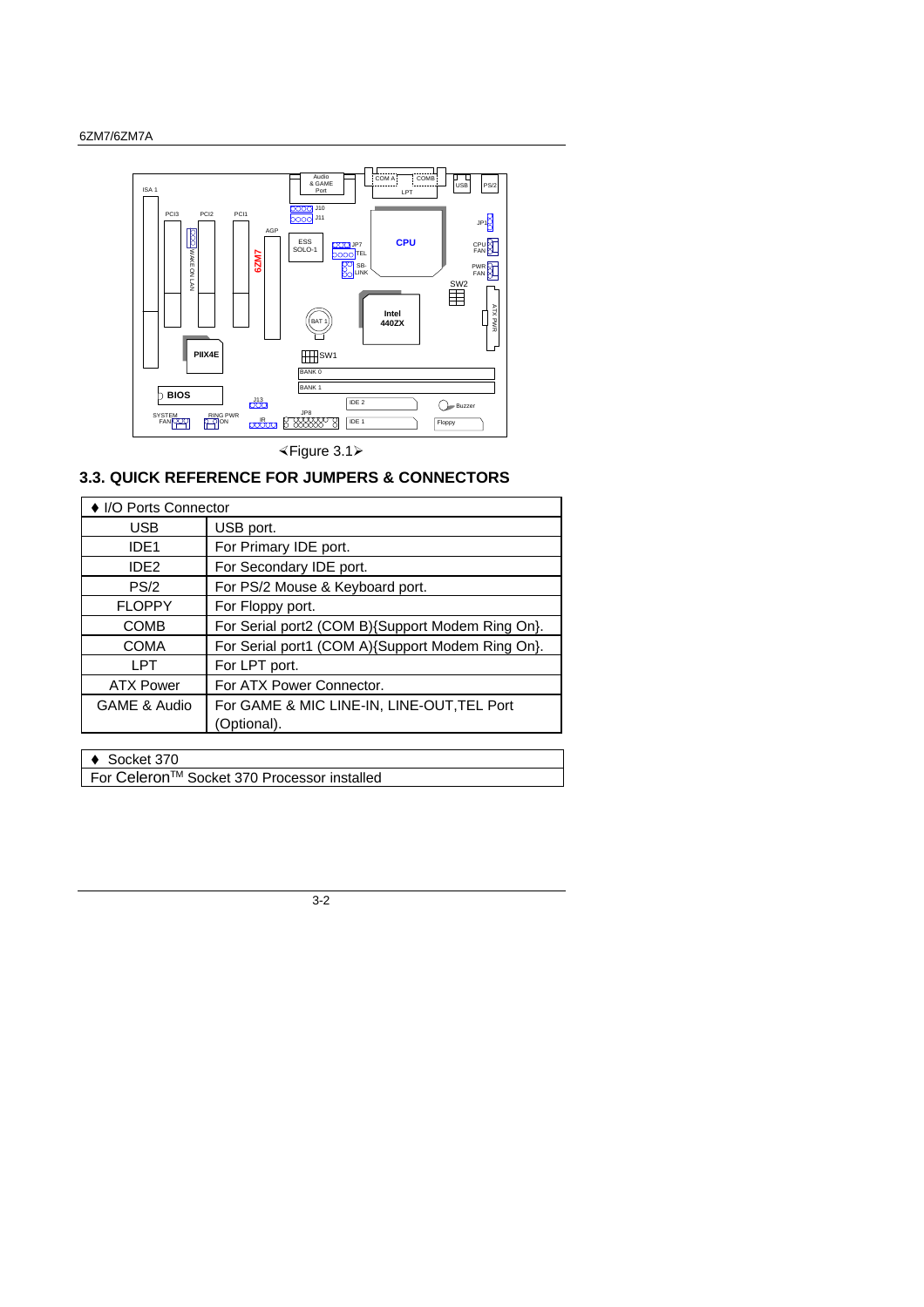

×Figure 3.1ÿ

# **3.3. QUICK REFERENCE FOR JUMPERS & CONNECTORS**

| ♦ I/O Ports Connector |                                                  |  |
|-----------------------|--------------------------------------------------|--|
| <b>USB</b>            | USB port.                                        |  |
| IDE <sub>1</sub>      | For Primary IDE port.                            |  |
| IDE <sub>2</sub>      | For Secondary IDE port.                          |  |
| PS/2                  | For PS/2 Mouse & Keyboard port.                  |  |
| <b>FLOPPY</b>         | For Floppy port.                                 |  |
| <b>COMB</b>           | For Serial port2 (COM B){Support Modem Ring On}. |  |
| <b>COMA</b>           | For Serial port1 (COM A){Support Modem Ring On}. |  |
| <b>LPT</b>            | For LPT port.                                    |  |
| <b>ATX Power</b>      | For ATX Power Connector.                         |  |
| GAME & Audio          | For GAME & MIC LINE-IN, LINE-OUT, TEL Port       |  |
|                       | (Optional).                                      |  |
|                       |                                                  |  |

 $\triangleleft$  Socket 370

For Celeron™ Socket 370 Processor installed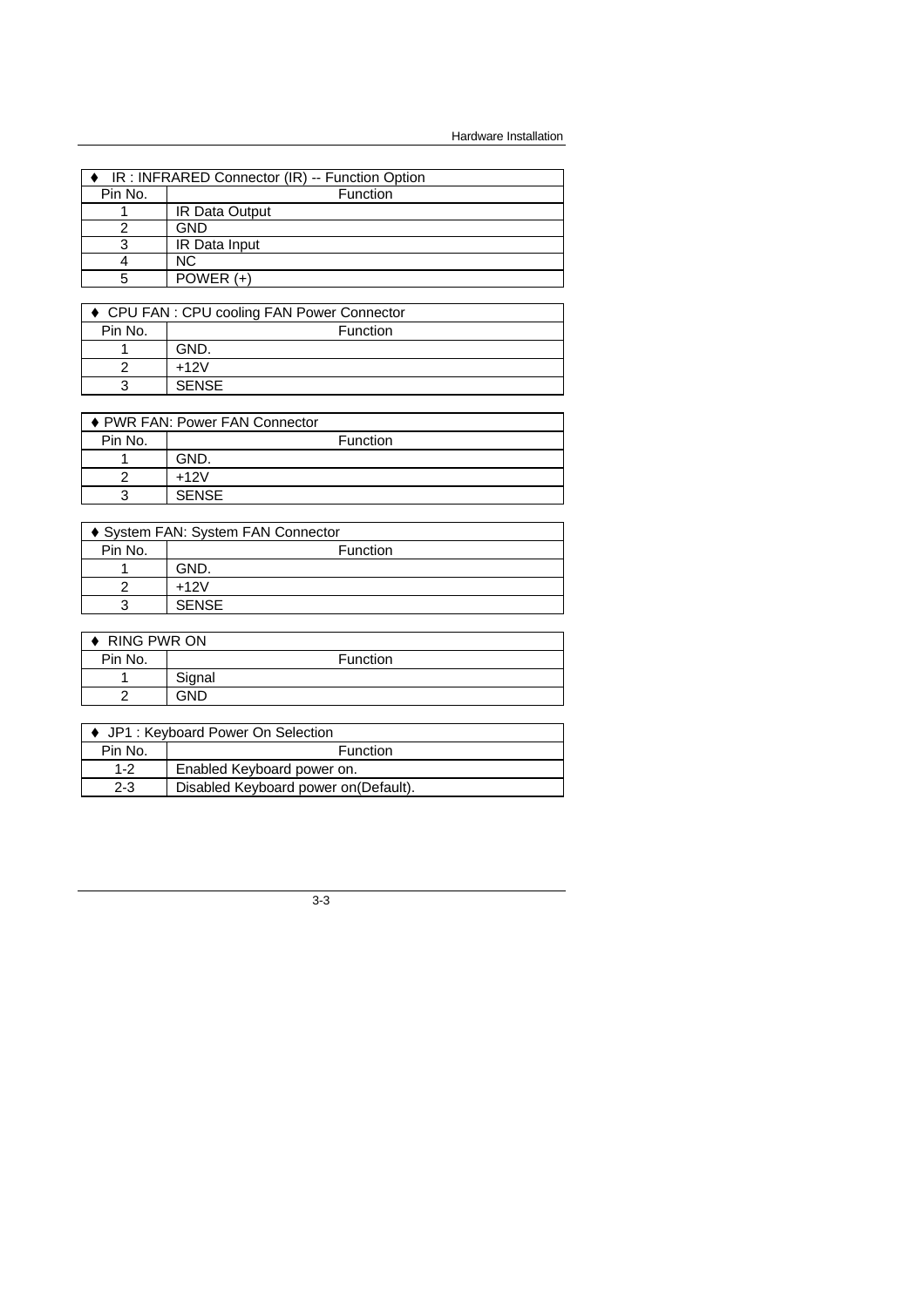| IR: INFRARED Connector (IR) -- Function Option |  |  |
|------------------------------------------------|--|--|
| Function                                       |  |  |
| <b>IR Data Output</b>                          |  |  |
| GND                                            |  |  |
| IR Data Input                                  |  |  |
| NС                                             |  |  |
| POWER $(+)$                                    |  |  |
|                                                |  |  |

| ♦ CPU FAN : CPU cooling FAN Power Connector |                 |  |
|---------------------------------------------|-----------------|--|
| Pin No.                                     | <b>Function</b> |  |
|                                             | GND.            |  |
|                                             | $+12V$          |  |
| ว                                           | <b>SENSE</b>    |  |

| ♦ PWR FAN: Power FAN Connector |              |  |
|--------------------------------|--------------|--|
| Pin No.                        | Function     |  |
|                                | GND.         |  |
|                                | $+12V$       |  |
| 3                              | <b>SENSE</b> |  |

| ♦ System FAN: System FAN Connector |              |  |
|------------------------------------|--------------|--|
| Pin No.                            | Function     |  |
|                                    | GND.         |  |
|                                    | $+12V$       |  |
|                                    | <b>SENSE</b> |  |

| <b>RING PWR ON</b> |        |                 |  |  |
|--------------------|--------|-----------------|--|--|
| Pin No.            |        | <b>Function</b> |  |  |
|                    | Signal |                 |  |  |
|                    | GND    |                 |  |  |

| ♦ JP1 : Keyboard Power On Selection |                                       |  |  |
|-------------------------------------|---------------------------------------|--|--|
| Pin No.                             | <b>Function</b>                       |  |  |
| $1 - 2$                             | Enabled Keyboard power on.            |  |  |
| $2 - 3$                             | Disabled Keyboard power on (Default). |  |  |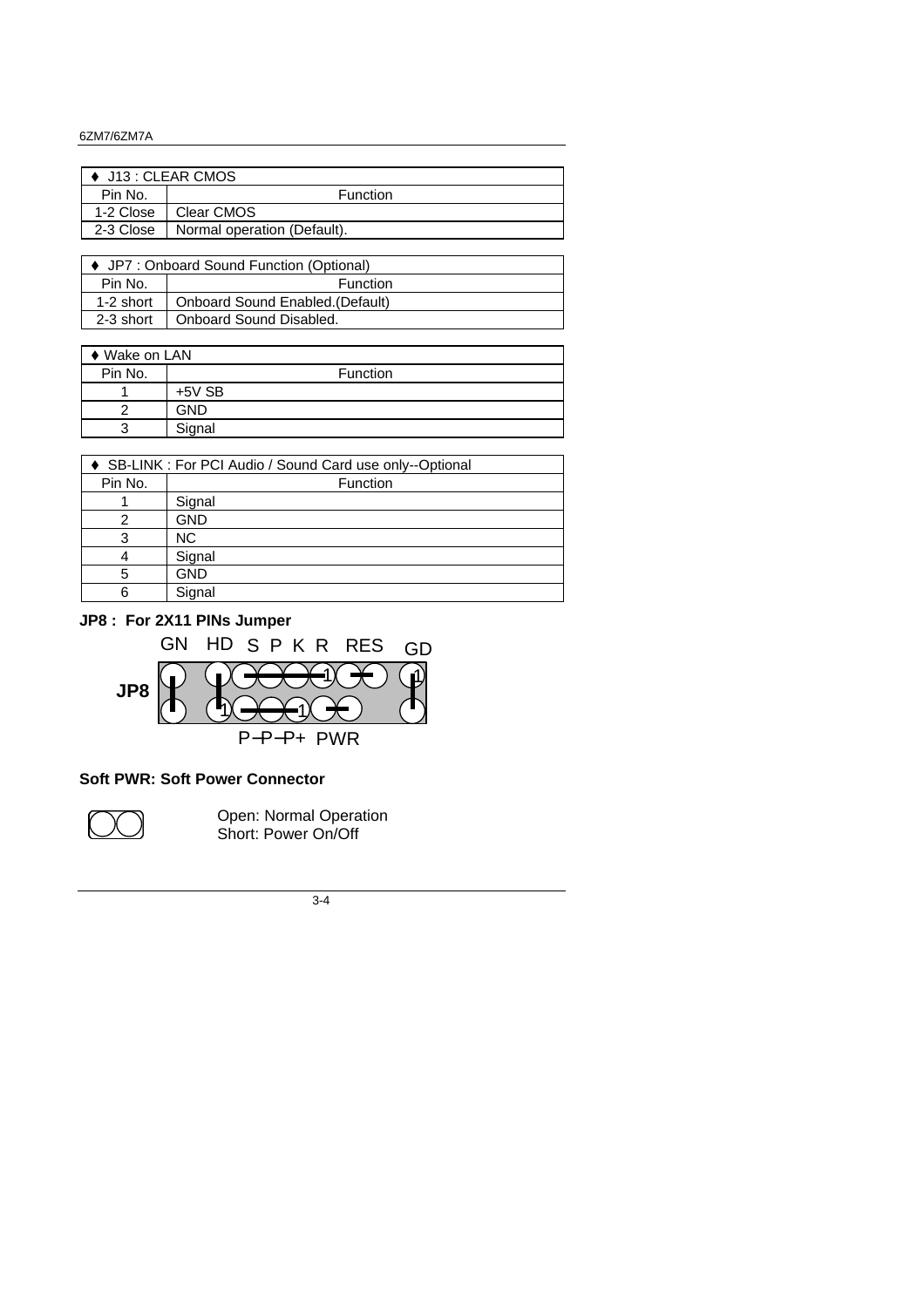#### 6ZM7/6ZM7A

| $\bullet$ J13 : CLEAR CMOS |                             |  |  |
|----------------------------|-----------------------------|--|--|
| Pin No.                    | <b>Function</b>             |  |  |
| 1-2 Close                  | Clear CMOS                  |  |  |
| 2-3 Close                  | Normal operation (Default). |  |  |
|                            |                             |  |  |

| ♦ JP7 : Onboard Sound Function (Optional) |                                  |  |  |
|-------------------------------------------|----------------------------------|--|--|
| Pin No.                                   | <b>Function</b>                  |  |  |
| 1-2 short                                 | Onboard Sound Enabled. (Default) |  |  |
| 2-3 short                                 | Onboard Sound Disabled.          |  |  |
|                                           |                                  |  |  |

| ♦ Wake on LAN |            |          |  |  |
|---------------|------------|----------|--|--|
| Pin No.       |            | Function |  |  |
|               | $+5V$ SB   |          |  |  |
|               | <b>GND</b> |          |  |  |
|               | Signal     |          |  |  |

| SB-LINK : For PCI Audio / Sound Card use only--Optional |            |  |  |
|---------------------------------------------------------|------------|--|--|
| Pin No.                                                 | Function   |  |  |
|                                                         | Signal     |  |  |
|                                                         | <b>GND</b> |  |  |
| 3                                                       | <b>NC</b>  |  |  |
| 4                                                       | Signal     |  |  |
| 5                                                       | <b>GND</b> |  |  |
| 6                                                       | Signal     |  |  |

### **JP8 : For 2X11 PINs Jumper**



# **Soft PWR: Soft Power Connector**



Open: Normal Operation Short: Power On/Off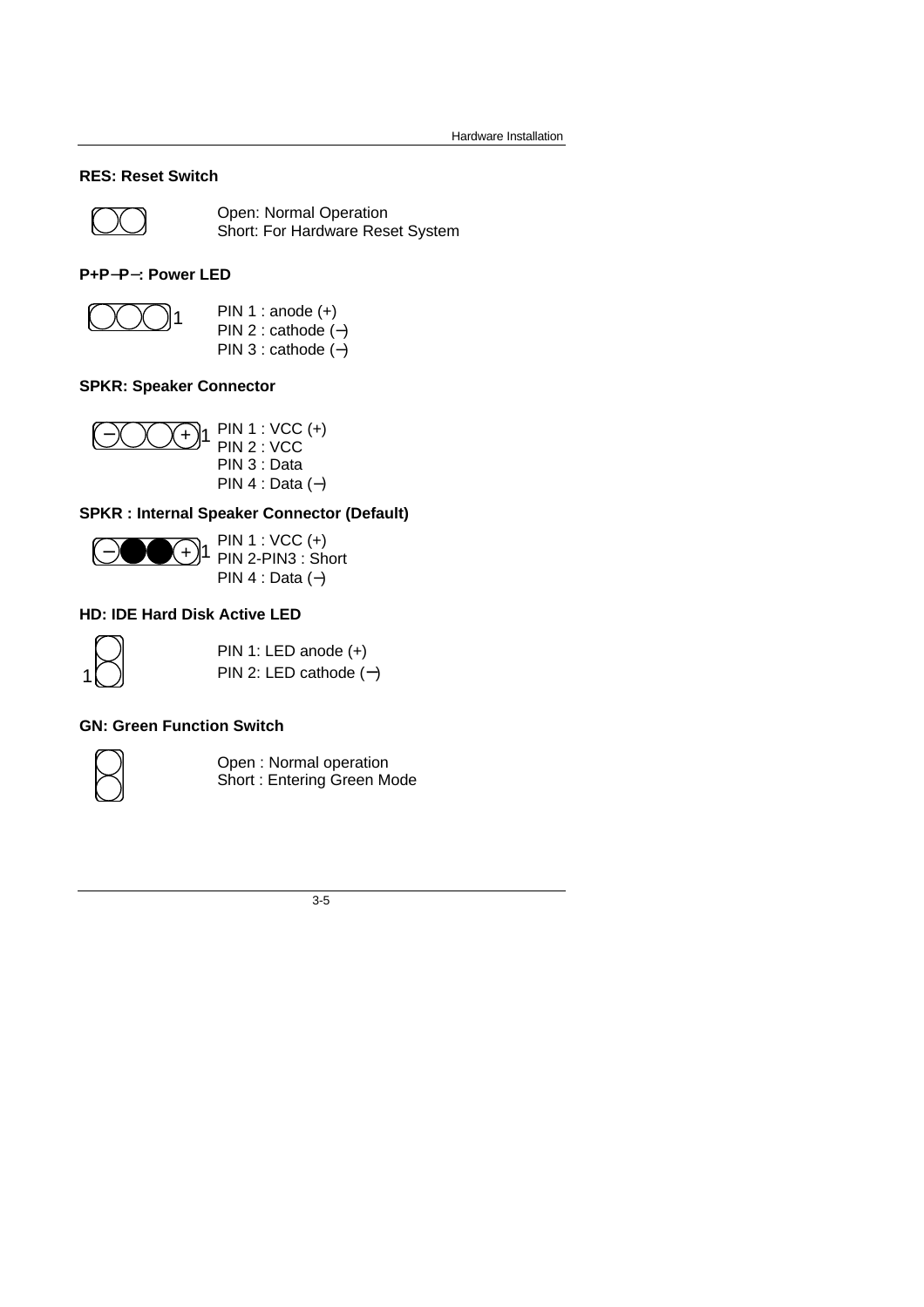### **RES: Reset Switch**



Open: Normal Operation Short: For Hardware Reset System

#### **P+P- P- : Power LED**



PIN 1 : anode  $(+)$ PIN 2 : cathode (−) PIN 3 : cathode (−)

### **SPKR: Speaker Connector**



PIN 3 : Data PIN 4 : Data (−)

### **SPKR : Internal Speaker Connector (Default)**



PIN 1 : VCC (+) PIN 2-PIN3 : Short PIN 4 : Data (−)

### **HD: IDE Hard Disk Active LED**



PIN 1: LED anode (+) PIN 2: LED cathode (**-** )

### **GN: Green Function Switch**



Open : Normal operation Short : Entering Green Mode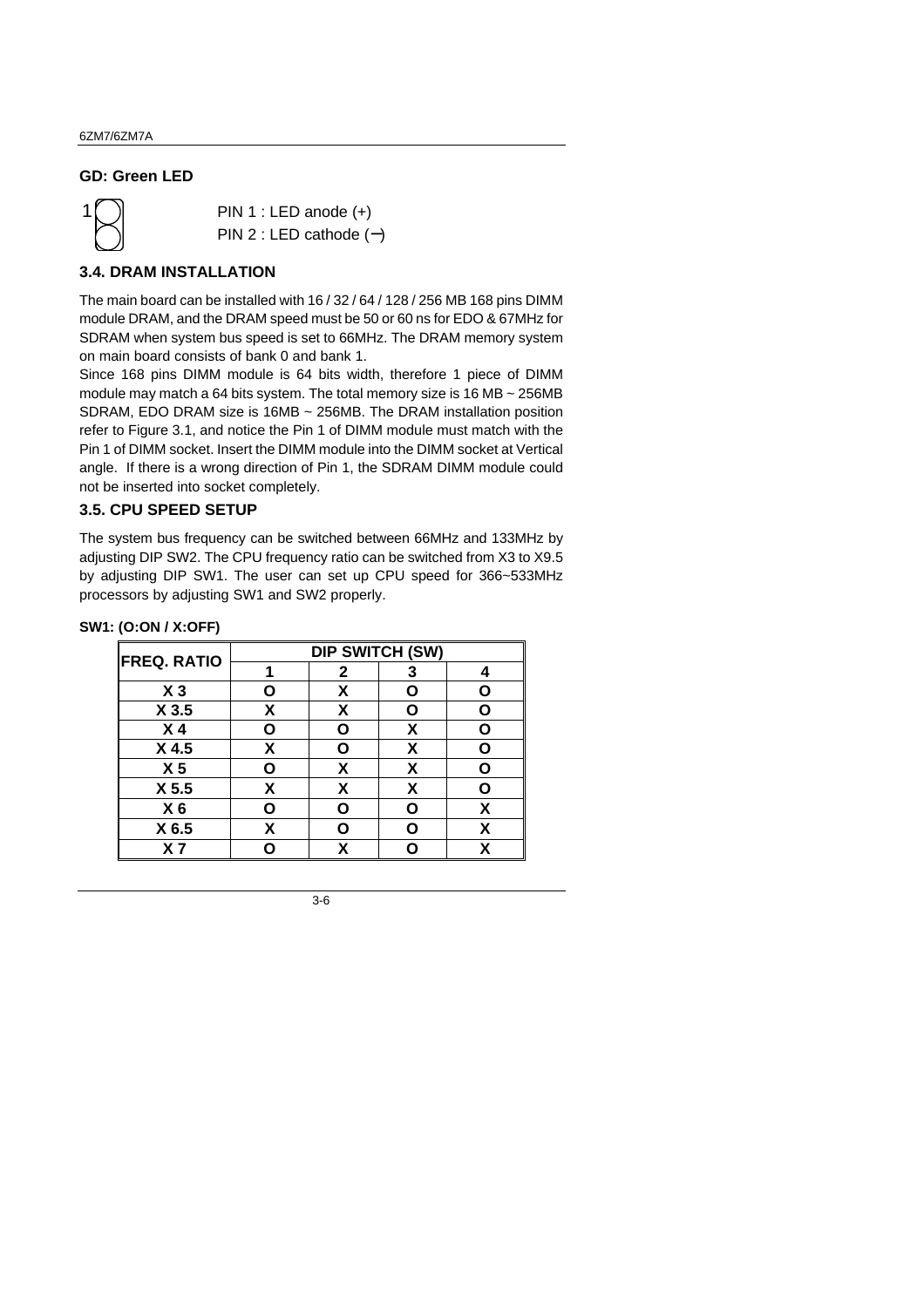#### **GD: Green LED**



PIN 1 : LED anode (+) PIN 2 : LED cathode (**-** )

#### **3.4. DRAM INSTALLATION**

The main board can be installed with 16 / 32 / 64 / 128 / 256 MB 168 pins DIMM module DRAM, and the DRAM speed must be 50 or 60 ns for EDO & 67MHz for SDRAM when system bus speed is set to 66MHz. The DRAM memory system on main board consists of bank 0 and bank 1.

Since 168 pins DIMM module is 64 bits width, therefore 1 piece of DIMM module may match a 64 bits system. The total memory size is 16 MB ~ 256MB SDRAM, EDO DRAM size is 16MB ~ 256MB. The DRAM installation position refer to Figure 3.1, and notice the Pin 1 of DIMM module must match with the Pin 1 of DIMM socket. Insert the DIMM module into the DIMM socket at Vertical angle. If there is a wrong direction of Pin 1, the SDRAM DIMM module could not be inserted into socket completely.

#### **3.5. CPU SPEED SETUP**

The system bus frequency can be switched between 66MHz and 133MHz by adjusting DIP SW2. The CPU frequency ratio can be switched from X3 to X9.5 by adjusting DIP SW1. The user can set up CPU speed for 366~533MHz processors by adjusting SW1 and SW2 properly.

#### **SW1: (O:ON / X:OFF)**

| <b>DIP SWITCH (SW)</b> |              |   |   |  |
|------------------------|--------------|---|---|--|
|                        | $\mathbf{2}$ | 3 |   |  |
| O                      | х            | O |   |  |
| χ                      | X            | O |   |  |
| Ο                      | Ο            | X | Ω |  |
| X                      | Ο            | X | ი |  |
| ი                      | X            | X | n |  |
| Χ                      | x            | χ | ი |  |
| ი                      | ი            | ი | X |  |
| X                      | Ω            | O | X |  |
|                        |              |   |   |  |
|                        |              |   |   |  |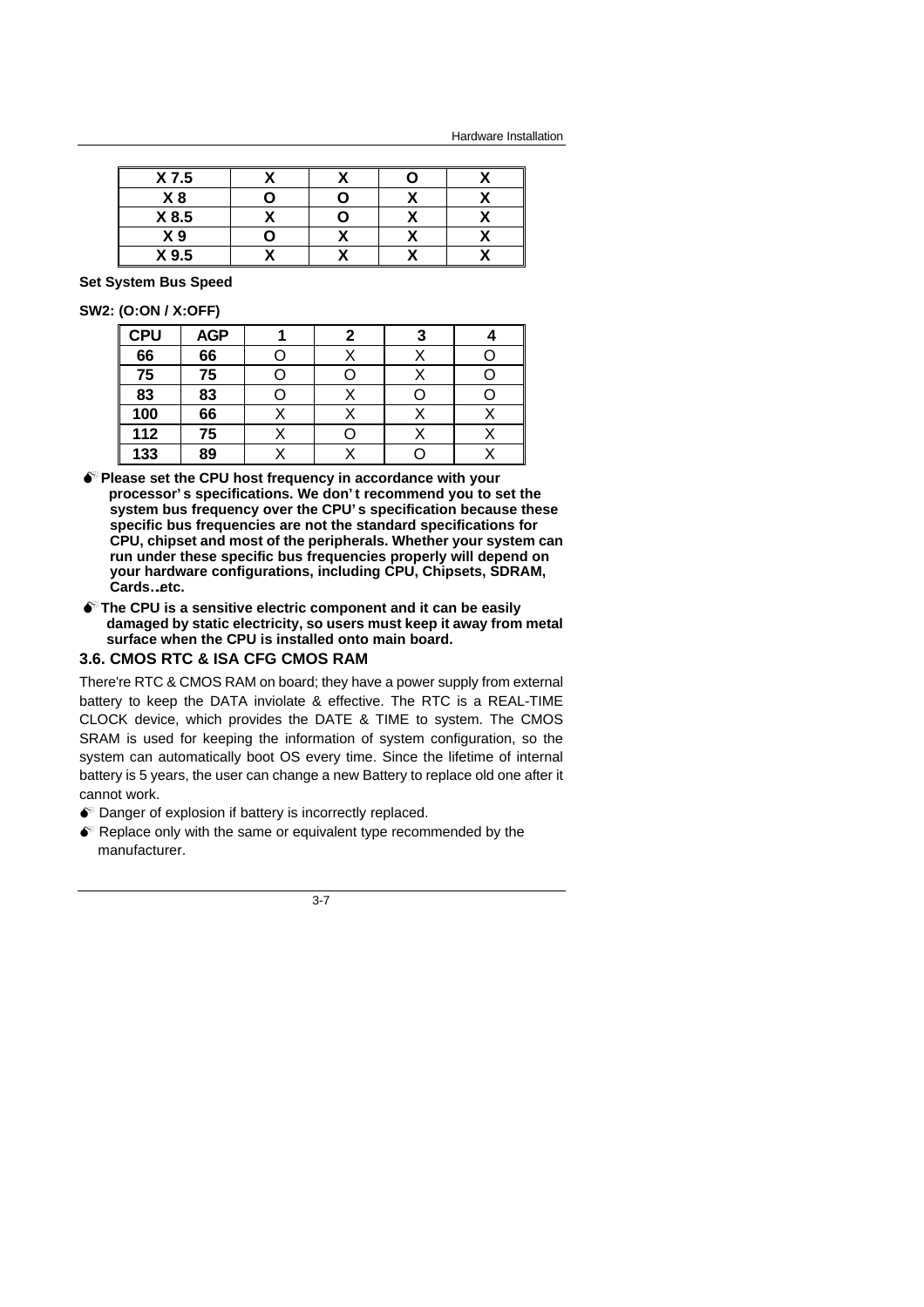Hardware Installation

| X 7.5          |  |  |
|----------------|--|--|
| X8             |  |  |
| X 8.5          |  |  |
| X <sub>9</sub> |  |  |
| X 9.5          |  |  |

#### **Set System Bus Speed**

#### **SW2: (O:ON / X:OFF)**

| <b>CPU</b> | <b>AGP</b> |  |  |
|------------|------------|--|--|
| 66         | 66         |  |  |
| 75         | 75         |  |  |
| 83         | 83         |  |  |
| 100        | 66         |  |  |
| 112        | 75         |  |  |
| 133        | 89         |  |  |

- **MPlease set the CPU host frequency in accordance with your processor's specifications. We don't recommend you to set the system bus frequency over the CPU's specification because these specific bus frequencies are not the standard specifications for CPU, chipset and most of the peripherals. Whether your system can run under these specific bus frequencies properly will depend on your hardware configurations, including CPU, Chipsets, SDRAM,** Cards..etc.
- $\bullet$ <sup>\*</sup> The CPU is a sensitive electric component and it can be easily **damaged by static electricity, so users must keep it away from metal surface when the CPU is installed onto main board.**

#### **3.6. CMOS RTC & ISA CFG CMOS RAM**

There're RTC & CMOS RAM on board; they have a power supply from external battery to keep the DATA inviolate & effective. The RTC is a REAL-TIME CLOCK device, which provides the DATE & TIME to system. The CMOS SRAM is used for keeping the information of system configuration, so the system can automatically boot OS every time. Since the lifetime of internal battery is 5 years, the user can change a new Battery to replace old one after it cannot work.

- $\bullet$  Danger of explosion if battery is incorrectly replaced.
- $\bullet$  Replace only with the same or equivalent type recommended by the manufacturer.